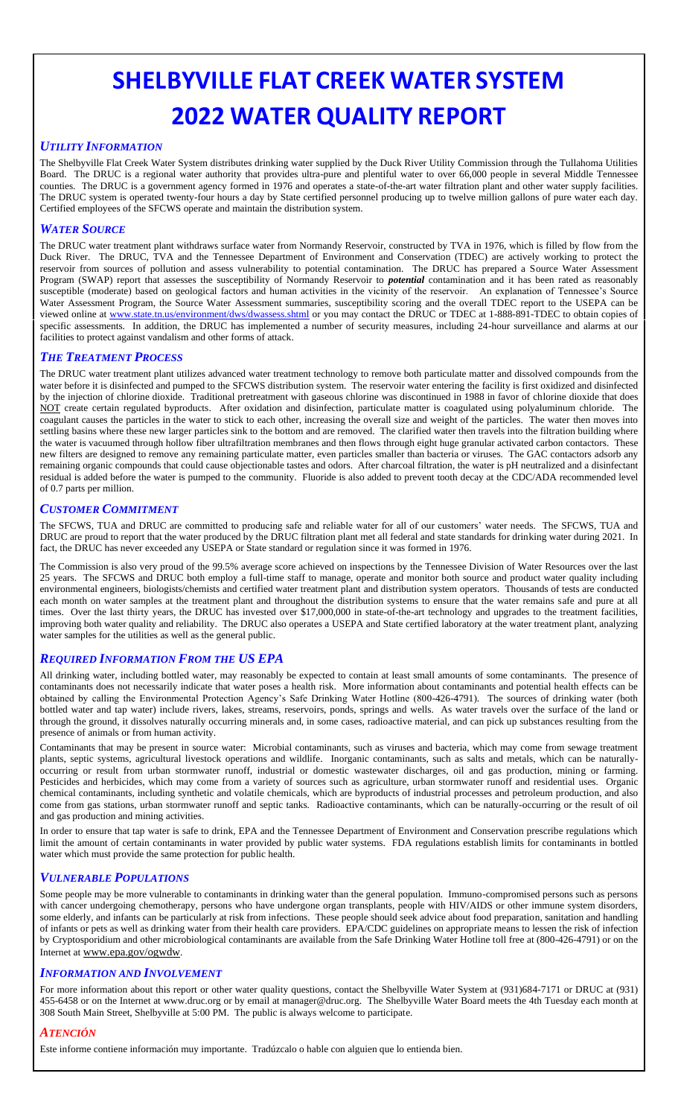# **SHELBYVILLE FLAT CREEK WATER SYSTEM 2022 WATER QUALITY REPORT**

# *UTILITY INFORMATION*

The Shelbyville Flat Creek Water System distributes drinking water supplied by the Duck River Utility Commission through the Tullahoma Utilities Board. The DRUC is a regional water authority that provides ultra-pure and plentiful water to over 66,000 people in several Middle Tennessee counties. The DRUC is a government agency formed in 1976 and operates a state-of-the-art water filtration plant and other water supply facilities. The DRUC system is operated twenty-four hours a day by State certified personnel producing up to twelve million gallons of pure water each day. Certified employees of the SFCWS operate and maintain the distribution system.

# *WATER SOURCE*

The DRUC water treatment plant withdraws surface water from Normandy Reservoir, constructed by TVA in 1976, which is filled by flow from the Duck River. The DRUC, TVA and the Tennessee Department of Environment and Conservation (TDEC) are actively working to protect the reservoir from sources of pollution and assess vulnerability to potential contamination. The DRUC has prepared a Source Water Assessment Program (SWAP) report that assesses the susceptibility of Normandy Reservoir to *potential* contamination and it has been rated as reasonably susceptible (moderate) based on geological factors and human activities in the vicinity of the reservoir. An explanation of Tennessee's Source Water Assessment Program, the Source Water Assessment summaries, susceptibility scoring and the overall TDEC report to the USEPA can be viewed online at <u>www.state.tn.us/environment/dws/dwassess.shtml</u> or you may contact the DRUC or TDEC at 1-888-891-TDEC to obtain copies of specific assessments. In addition, the DRUC has implemented a number of security measures, including 24-hour surveillance and alarms at our facilities to protect against vandalism and other forms of attack.

#### *THE TREATMENT PROCESS*

The DRUC water treatment plant utilizes advanced water treatment technology to remove both particulate matter and dissolved compounds from the water before it is disinfected and pumped to the SFCWS distribution system. The reservoir water entering the facility is first oxidized and disinfected by the injection of chlorine dioxide. Traditional pretreatment with gaseous chlorine was discontinued in 1988 in favor of chlorine dioxide that does NOT create certain regulated byproducts. After oxidation and disinfection, particulate matter is coagulated using polyaluminum chloride. The coagulant causes the particles in the water to stick to each other, increasing the overall size and weight of the particles. The water then moves into settling basins where these new larger particles sink to the bottom and are removed. The clarified water then travels into the filtration building where the water is vacuumed through hollow fiber ultrafiltration membranes and then flows through eight huge granular activated carbon contactors. These new filters are designed to remove any remaining particulate matter, even particles smaller than bacteria or viruses. The GAC contactors adsorb any remaining organic compounds that could cause objectionable tastes and odors. After charcoal filtration, the water is pH neutralized and a disinfectant residual is added before the water is pumped to the community. Fluoride is also added to prevent tooth decay at the CDC/ADA recommended level of 0.7 parts per million.

#### *CUSTOMER COMMITMENT*

The SFCWS, TUA and DRUC are committed to producing safe and reliable water for all of our customers' water needs. The SFCWS, TUA and DRUC are proud to report that the water produced by the DRUC filtration plant met all federal and state standards for drinking water during 2021. In fact, the DRUC has never exceeded any USEPA or State standard or regulation since it was formed in 1976.

The Commission is also very proud of the 99.5% average score achieved on inspections by the Tennessee Division of Water Resources over the last 25 years. The SFCWS and DRUC both employ a full-time staff to manage, operate and monitor both source and product water quality including environmental engineers, biologists/chemists and certified water treatment plant and distribution system operators. Thousands of tests are conducted each month on water samples at the treatment plant and throughout the distribution systems to ensure that the water remains safe and pure at all times. Over the last thirty years, the DRUC has invested over \$17,000,000 in state-of-the-art technology and upgrades to the treatment facilities, improving both water quality and reliability. The DRUC also operates a USEPA and State certified laboratory at the water treatment plant, analyzing water samples for the utilities as well as the general public.

# *REQUIRED INFORMATION FROM THE US EPA*

All drinking water, including bottled water, may reasonably be expected to contain at least small amounts of some contaminants. The presence of contaminants does not necessarily indicate that water poses a health risk. More information about contaminants and potential health effects can be obtained by calling the Environmental Protection Agency's Safe Drinking Water Hotline (800-426-4791). The sources of drinking water (both bottled water and tap water) include rivers, lakes, streams, reservoirs, ponds, springs and wells. As water travels over the surface of the land or through the ground, it dissolves naturally occurring minerals and, in some cases, radioactive material, and can pick up substances resulting from the presence of animals or from human activity.

Contaminants that may be present in source water: Microbial contaminants, such as viruses and bacteria, which may come from sewage treatment plants, septic systems, agricultural livestock operations and wildlife. Inorganic contaminants, such as salts and metals, which can be naturallyoccurring or result from urban stormwater runoff, industrial or domestic wastewater discharges, oil and gas production, mining or farming. Pesticides and herbicides, which may come from a variety of sources such as agriculture, urban stormwater runoff and residential uses. Organic chemical contaminants, including synthetic and volatile chemicals, which are byproducts of industrial processes and petroleum production, and also come from gas stations, urban stormwater runoff and septic tanks. Radioactive contaminants, which can be naturally-occurring or the result of oil and gas production and mining activities.

In order to ensure that tap water is safe to drink, EPA and the Tennessee Department of Environment and Conservation prescribe regulations which limit the amount of certain contaminants in water provided by public water systems. FDA regulations establish limits for contaminants in bottled water which must provide the same protection for public health.

#### *VULNERABLE POPULATIONS*

Some people may be more vulnerable to contaminants in drinking water than the general population. Immuno-compromised persons such as persons with cancer undergoing chemotherapy, persons who have undergone organ transplants, people with HIV/AIDS or other immune system disorders, some elderly, and infants can be particularly at risk from infections. These people should seek advice about food preparation, sanitation and handling of infants or pets as well as drinking water from their health care providers. EPA/CDC guidelines on appropriate means to lessen the risk of infection by Cryptosporidium and other microbiological contaminants are available from the Safe Drinking Water Hotline toll free at (800-426-4791) or on the Internet at [www.epa.gov/ogwdw](http://www.epa.gov/ogwdw).

#### *INFORMATION AND INVOLVEMENT*

For more information about this report or other water quality questions, contact the Shelbyville Water System at (931)684-7171 or DRUC at (931) 455-6458 or on the Internet at www.druc.org or by email at manager@druc.org. The Shelbyville Water Board meets the 4th Tuesday each month at 308 South Main Street, Shelbyville at 5:00 PM. The public is always welcome to participate.

# *ATENCIÓN*

Este informe contiene información muy importante. Tradúzcalo o hable con alguien que lo entienda bien.